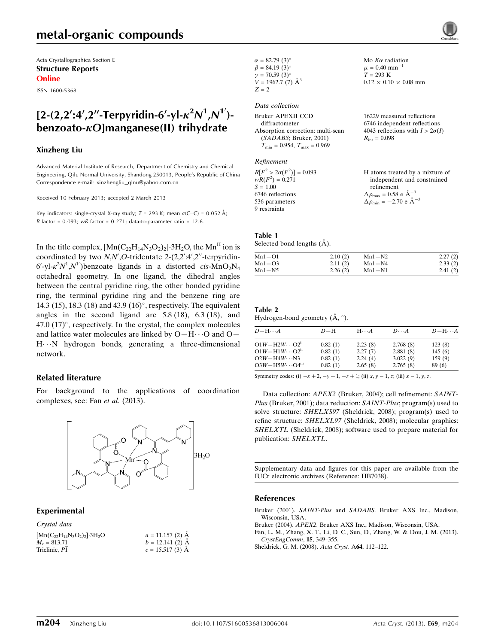Acta Crystallographica Section E Structure Reports Online

ISSN 1600-5368

## $[2-(2,2';4',2''-Terpyridin-6'-yl- $\kappa^2 N^1,N^1')$$  $benzoato- $\kappa$ Olmanzanese(II) trihvdrate$

#### Xinzheng Liu

Advanced Material Institute of Research, Department of Chemistry and Chemical Engineering, Qilu Normal University, Shandong 250013, People's Republic of China Correspondence e-mail: [xinzhengliu\\_qlnu@yahoo.com.cn](https://scripts.iucr.org/cgi-bin/cr.cgi?rm=pdfbb&cnor=hb7038&bbid=BB4)

Received 10 February 2013; accepted 2 March 2013

Key indicators: single-crystal X-ray study;  $T = 293$  K; mean  $\sigma$ (C–C) = 0.052 Å; R factor =  $0.093$ ; wR factor =  $0.271$ ; data-to-parameter ratio = 12.6.

In the title complex,  $[Mn(C_{22}H_{14}N_3O_2)_2]\cdot 3H_2O$ , the  $Mn^{\text{II}}$  ion is coordinated by two  $N, N', O$ -tridentate 2-(2,2':4',2"-terpyridin-6'-yl- $\kappa^2 N^1$ , $N^1$ ')benzoate ligands in a distorted cis- $\text{MnO}_2\text{N}_4$ octahedral geometry. In one ligand, the dihedral angles between the central pyridine ring, the other bonded pyridine ring, the terminal pyridine ring and the benzene ring are 14.3 (15), 18.3 (18) and 43.9 (16)°, respectively. The equivalent angles in the second ligand are 5.8 (18), 6.3 (18), and 47.0  $(17)^\circ$ , respectively. In the crystal, the complex molecules and lattice water molecules are linked by  $O-H \cdots O$  and  $O-$ H---N hydrogen bonds, generating a three-dimensional network.

#### Related literature

For background to the applications of coordination complexes, see: Fan et al. (2013).



#### Experimental

| Crystal data                                         |                    |
|------------------------------------------------------|--------------------|
| $[{\rm Mn}(C_{22}H_{14}N_3O_2)_2]$ 3H <sub>2</sub> O | $a = 11.157$ (2) A |
| $M_r = 813.71$                                       | $b = 12.141(2)$ A  |
| Triclinic. P1                                        | $c = 15.517(3)$ A  |

| $\alpha = 82.79(3)^{\circ}$ |
|-----------------------------|
| $\beta = 84.19(3)$ °        |
| $\nu = 70.59(3)$ °          |
| $V = 1962.7$ (7) $\AA^3$    |
| $Z = 2$                     |

#### Data collection

| Bruker APEXII CCD                                | 16229 mea            |
|--------------------------------------------------|----------------------|
| diffractometer                                   | $6746$ indep         |
| Absorption correction: multi-scan                | 4043 refleo          |
| (SADABS; Bruker, 2001)                           | $R_{\rm int} = 0.09$ |
| $T_{\text{min}} = 0.954, T_{\text{max}} = 0.969$ |                      |
|                                                  |                      |

#### Refinement

 $R[F^2 > 2\sigma(F^2)] = 0.093$ <br>  $wR(F^2) = 0.271$  $S = 1.00$ 6746 reflections 536 parameters 9 restraints

#### asured reflections bendent reflections 4043 reflections with  $I > 2\sigma(I)$  $R_{\text{int}} = 0.098$

Mo  $K\alpha$  radiation  $\mu$  = 0.40 mm<sup>-1</sup>  $T = 293 \text{ K}$ 

 $0.12 \times 0.10 \times 0.08$  mm

H atoms treated by a mixture of independent and constrained refinement  $\Delta \rho_{\text{max}} = 0.58 \text{ e A}^{-3}$  $\Delta \rho_{\rm min} = -2.70 \text{ e } \text{\AA}^{-3}$ 

#### Table 1

Selected bond lengths  $(\AA)$ .

| $Mn1 - O1$ | 2.10(2) | $Mn1-N2$ | 2.27(2) |
|------------|---------|----------|---------|
| $Mn1 - O3$ | 2.11(2) | $Mn1-N4$ | 2.33(2) |
| Mn1-N5     | 2.26(2) | $Mn1-N1$ | 2.41(2) |

#### Table 2

Hydrogen-bond geometry  $(\mathring{A}, \degree)$ .

| $D - H \cdots A$                     | $D-H$   | $H\cdots A$ | $D\cdots A$ | $D - H \cdots A$ |
|--------------------------------------|---------|-------------|-------------|------------------|
| $O1W - H2W \cdots O2^{i}$            | 0.82(1) | 2.23(8)     | 2.768(8)    | 123(8)           |
| $O1W - H1W \cdots O2ii$              | 0.82(1) | 2.27(7)     | 2.881(8)    | 145(6)           |
| $O2W - H4W \cdots N3$                | 0.82(1) | 2.24(4)     | 3.022(9)    | 159(9)           |
| $O3W - H5W \cdots O4$ <sup>iii</sup> | 0.82(1) | 2.65(8)     | 2.765(8)    | 89 (6)           |

Symmetry codes: (i)  $-x + 2, -y + 1, -z + 1$ ; (ii)  $x, y - 1, z$ ; (iii)  $x - 1, y, z$ .

Data collection: *APEX2* (Bruker, 2004); cell refinement: *SAINT*-Plus (Bruker, 2001); data reduction: SAINT-Plus; program(s) used to solve structure: SHELXS97 (Sheldrick, 2008); program(s) used to refine structure: SHELXL97 (Sheldrick, 2008); molecular graphics: SHELXTL (Sheldrick, 2008); software used to prepare material for publication: SHELXTL.

Supplementary data and figures for this paper are available from the IUCr electronic archives (Reference: HB7038).

#### References

- Bruker (2001). SAINT-Plus and SADABS[. Bruker AXS Inc., Madison,](https://scripts.iucr.org/cgi-bin/cr.cgi?rm=pdfbb&cnor=hb7038&bbid=BB1) [Wisconsin, USA.](https://scripts.iucr.org/cgi-bin/cr.cgi?rm=pdfbb&cnor=hb7038&bbid=BB1)
- Bruker (2004). APEX2[. Bruker AXS Inc., Madison, Wisconsin, USA.](https://scripts.iucr.org/cgi-bin/cr.cgi?rm=pdfbb&cnor=hb7038&bbid=BB2)
- [Fan, L. M., Zhang, X. T., Li, D. C., Sun, D., Zhang, W. & Dou, J. M. \(2013\).](https://scripts.iucr.org/cgi-bin/cr.cgi?rm=pdfbb&cnor=hb7038&bbid=BB3) [CrystEngComm](https://scripts.iucr.org/cgi-bin/cr.cgi?rm=pdfbb&cnor=hb7038&bbid=BB3), 15, 349–355.

[Sheldrick, G. M. \(2008\).](https://scripts.iucr.org/cgi-bin/cr.cgi?rm=pdfbb&cnor=hb7038&bbid=BB4) Acta Cryst. A64, 112–122.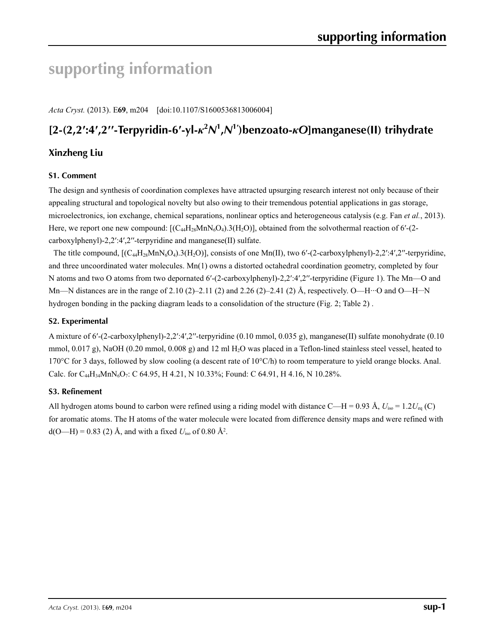# **supporting information**

*Acta Cryst.* (2013). E**69**, m204 [doi:10.1107/S1600536813006004]

# [2-(2,2':4',2"-Terpyridin-6'-yl- $\kappa^2 N^1$ , $N^1$ ')benzoato- $\kappa$ O]manganese(II) trihydrate

## **Xinzheng Liu**

## **S1. Comment**

The design and synthesis of coordination complexes have attracted upsurging research interest not only because of their appealing structural and topological novelty but also owing to their tremendous potential applications in gas storage, microelectronics, ion exchange, chemical separations, nonlinear optics and heterogeneous catalysis (e.g. Fan *et al.*, 2013). Here, we report one new compound:  $[(C_{44}H_{28}MnN_6O_4).3(H_2O)]$ , obtained from the solvothermal reaction of 6'-(2carboxylphenyl)-2,2′:4′,2′′-terpyridine and manganese(II) sulfate.

The title compound,  $[(C_{44}H_{28}MnN_6O_4).3(H_2O)]$ , consists of one Mn(II), two 6'-(2-carboxylphenyl)-2,2':4',2"-terpyridine, and three uncoordinated water molecules. Mn(1) owns a distorted octahedral coordination geometry, completed by four N atoms and two O atoms from two depornated 6'-(2-carboxylphenyl)-2,2':4',2"-terpyridine (Figure 1). The Mn—O and Mn—N distances are in the range of 2.10 (2)–2.11 (2) and 2.26 (2)–2.41 (2) Å, respectively. O—H…O and O—H…N hydrogen bonding in the packing diagram leads to a consolidation of the structure (Fig. 2; Table 2) .

### **S2. Experimental**

A mixture of 6′-(2-carboxylphenyl)-2,2′:4′,2′′-terpyridine (0.10 mmol, 0.035 g), manganese(II) sulfate monohydrate (0.10 mmol,  $0.017$  g), NaOH (0.20 mmol,  $0.008$  g) and 12 ml H<sub>2</sub>O was placed in a Teflon-lined stainless steel vessel, heated to 170°C for 3 days, followed by slow cooling (a descent rate of  $10^{\circ}$ C/h) to room temperature to yield orange blocks. Anal. Calc. for C<sub>44</sub>H<sub>34</sub>MnN<sub>6</sub>O<sub>7</sub>: C 64.95, H 4.21, N 10.33%; Found: C 64.91, H 4.16, N 10.28%.

## **S3. Refinement**

All hydrogen atoms bound to carbon were refined using a riding model with distance C—H = 0.93 Å,  $U_{\text{iso}} = 1.2 U_{\text{eq}}$  (C) for aromatic atoms. The H atoms of the water molecule were located from difference density maps and were refined with  $d(O-H) = 0.83$  (2) Å, and with a fixed  $U_{iso}$  of 0.80 Å<sup>2</sup>.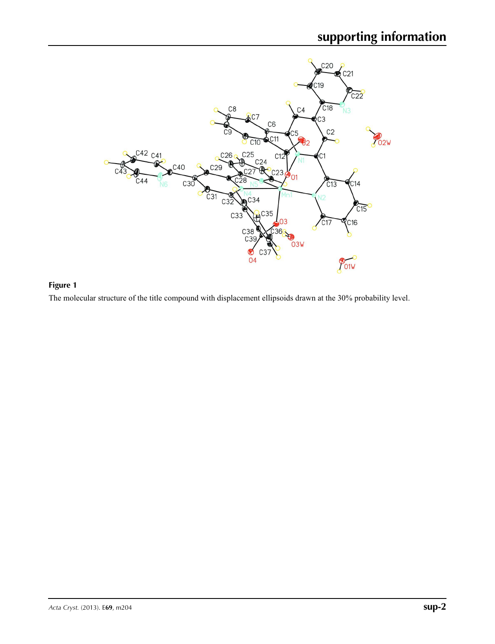

## **Figure 1**

The molecular structure of the title compound with displacement ellipsoids drawn at the 30% probability level.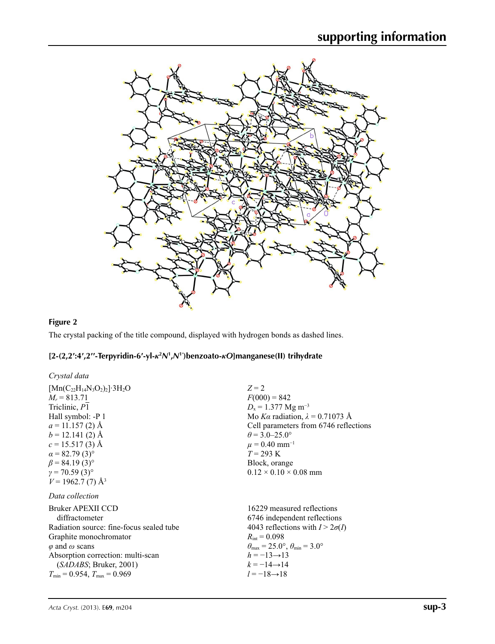

## **Figure 2**

The crystal packing of the title compound, displayed with hydrogen bonds as dashed lines.

## [2-(2,2':4',2"-Terpyridin-6'-yl-k<sup>2</sup>N',N<sup>1'</sup>)benzoato-kO]manganese(II) trihydrate

| Crystal data                                      |                                                                         |
|---------------------------------------------------|-------------------------------------------------------------------------|
| $[Mn(C_{22}H_{14}N_3O_2)_2]$ 3H <sub>2</sub> O    | $Z = 2$                                                                 |
| $M_r = 813.71$                                    | $F(000) = 842$                                                          |
| Triclinic, P1                                     | $D_x = 1.377$ Mg m <sup>-3</sup>                                        |
| Hall symbol: -P 1                                 | Mo Ka radiation, $\lambda = 0.71073$ Å                                  |
| $a = 11.157(2)$ Å                                 | Cell parameters from 6746 reflections                                   |
| $b = 12.141(2)$ Å                                 | $\theta$ = 3.0–25.0°                                                    |
| $c = 15.517(3)$ Å                                 | $\mu = 0.40$ mm <sup>-1</sup>                                           |
| $\alpha$ = 82.79 (3) <sup>o</sup>                 | $T = 293 \text{ K}$                                                     |
| $\beta$ = 84.19 (3) <sup>o</sup>                  | Block, orange                                                           |
| $y = 70.59(3)$ °                                  | $0.12 \times 0.10 \times 0.08$ mm                                       |
| $V = 1962.7(7)$ Å <sup>3</sup><br>Data collection |                                                                         |
| Bruker APEXII CCD                                 | 16229 measured reflections                                              |
| diffractometer                                    | 6746 independent reflections                                            |
| Radiation source: fine-focus sealed tube          | 4043 reflections with $I > 2\sigma(I)$                                  |
| Graphite monochromator                            | $R_{\rm int} = 0.098$                                                   |
| $\varphi$ and $\omega$ scans                      | $\theta_{\text{max}} = 25.0^{\circ}, \theta_{\text{min}} = 3.0^{\circ}$ |
| Absorption correction: multi-scan                 | $h = -13 \rightarrow 13$                                                |
| (SADABS; Bruker, 2001)                            | $k = -14 \rightarrow 14$                                                |
| $T_{\min}$ = 0.954, $T_{\max}$ = 0.969            | $l = -18 \rightarrow 18$                                                |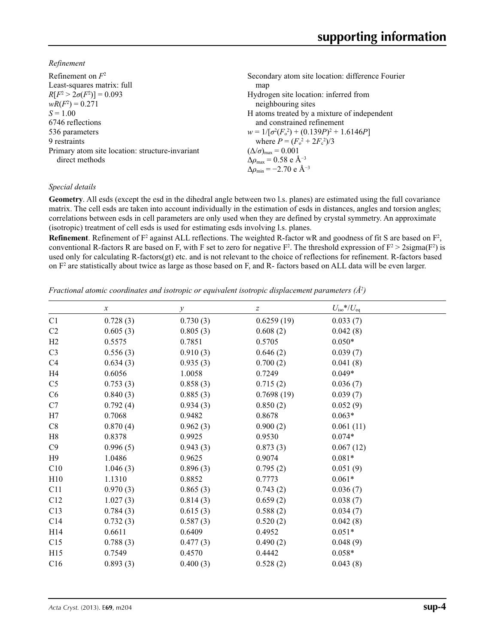*Refinement*

| Refinement on $F^2$                             | Secondary atom site location: difference Fourier  |
|-------------------------------------------------|---------------------------------------------------|
| Least-squares matrix: full                      | map                                               |
| $R[F^2 > 2\sigma(F^2)] = 0.093$                 | Hydrogen site location: inferred from             |
| $wR(F^2) = 0.271$                               | neighbouring sites                                |
| $S = 1.00$                                      | H atoms treated by a mixture of independent       |
| 6746 reflections                                | and constrained refinement                        |
| 536 parameters                                  | $w = 1/[\sigma^2(F_0^2) + (0.139P)^2 + 1.6146P]$  |
| 9 restraints                                    | where $P = (F_0^2 + 2F_c^2)/3$                    |
| Primary atom site location: structure-invariant | $(\Delta/\sigma)_{\text{max}} = 0.001$            |
| direct methods                                  | $\Delta\rho_{\text{max}} = 0.58 \text{ e A}^{-3}$ |
|                                                 | $\Delta \rho_{\rm min} = -2.70 \text{ e A}^{-3}$  |
|                                                 |                                                   |

### *Special details*

**Geometry**. All esds (except the esd in the dihedral angle between two l.s. planes) are estimated using the full covariance matrix. The cell esds are taken into account individually in the estimation of esds in distances, angles and torsion angles; correlations between esds in cell parameters are only used when they are defined by crystal symmetry. An approximate (isotropic) treatment of cell esds is used for estimating esds involving l.s. planes.

**Refinement**. Refinement of  $F^2$  against ALL reflections. The weighted R-factor wR and goodness of fit S are based on  $F^2$ , conventional R-factors R are based on F, with F set to zero for negative  $F^2$ . The threshold expression of  $F^2 > 2 \text{sigma}(F^2)$  is used only for calculating R-factors(gt) etc. and is not relevant to the choice of reflections for refinement. R-factors based on  $F<sup>2</sup>$  are statistically about twice as large as those based on F, and R- factors based on ALL data will be even larger.

*Fractional atomic coordinates and isotropic or equivalent isotropic displacement parameters (Å<sup>2</sup>)* 

|                | $\boldsymbol{\chi}$ | $\mathcal{Y}$ | $\boldsymbol{Z}$ | $U_{\rm iso}*/U_{\rm eq}$ |  |
|----------------|---------------------|---------------|------------------|---------------------------|--|
| C1             | 0.728(3)            | 0.730(3)      | 0.6259(19)       | 0.033(7)                  |  |
| C <sub>2</sub> | 0.605(3)            | 0.805(3)      | 0.608(2)         | 0.042(8)                  |  |
| H2             | 0.5575              | 0.7851        | 0.5705           | $0.050*$                  |  |
| C <sub>3</sub> | 0.556(3)            | 0.910(3)      | 0.646(2)         | 0.039(7)                  |  |
| C4             | 0.634(3)            | 0.935(3)      | 0.700(2)         | 0.041(8)                  |  |
| H4             | 0.6056              | 1.0058        | 0.7249           | $0.049*$                  |  |
| C <sub>5</sub> | 0.753(3)            | 0.858(3)      | 0.715(2)         | 0.036(7)                  |  |
| C6             | 0.840(3)            | 0.885(3)      | 0.7698(19)       | 0.039(7)                  |  |
| C7             | 0.792(4)            | 0.934(3)      | 0.850(2)         | 0.052(9)                  |  |
| H7             | 0.7068              | 0.9482        | 0.8678           | $0.063*$                  |  |
| C8             | 0.870(4)            | 0.962(3)      | 0.900(2)         | 0.061(11)                 |  |
| H8             | 0.8378              | 0.9925        | 0.9530           | $0.074*$                  |  |
| C9             | 0.996(5)            | 0.943(3)      | 0.873(3)         | 0.067(12)                 |  |
| H <sub>9</sub> | 1.0486              | 0.9625        | 0.9074           | $0.081*$                  |  |
| C10            | 1.046(3)            | 0.896(3)      | 0.795(2)         | 0.051(9)                  |  |
| H10            | 1.1310              | 0.8852        | 0.7773           | $0.061*$                  |  |
| C11            | 0.970(3)            | 0.865(3)      | 0.743(2)         | 0.036(7)                  |  |
| C12            | 1.027(3)            | 0.814(3)      | 0.659(2)         | 0.038(7)                  |  |
| C13            | 0.784(3)            | 0.615(3)      | 0.588(2)         | 0.034(7)                  |  |
| C14            | 0.732(3)            | 0.587(3)      | 0.520(2)         | 0.042(8)                  |  |
| H14            | 0.6611              | 0.6409        | 0.4952           | $0.051*$                  |  |
| C15            | 0.788(3)            | 0.477(3)      | 0.490(2)         | 0.048(9)                  |  |
| H15            | 0.7549              | 0.4570        | 0.4442           | $0.058*$                  |  |
| C16            | 0.893(3)            | 0.400(3)      | 0.528(2)         | 0.043(8)                  |  |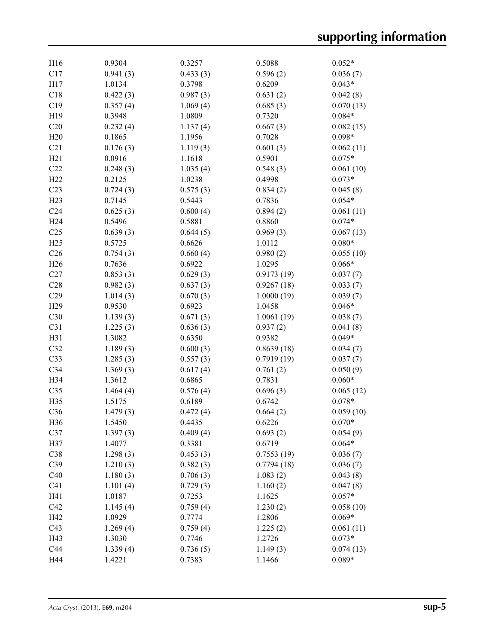| H16             | 0.9304   | 0.3257   | 0.5088             | $0.052*$              |
|-----------------|----------|----------|--------------------|-----------------------|
| C17             | 0.941(3) | 0.433(3) | 0.596(2)           | 0.036(7)              |
| H17             | 1.0134   | 0.3798   | 0.6209             | $0.043*$              |
| C18             | 0.422(3) | 0.987(3) | 0.631(2)           | 0.042(8)              |
| C19             | 0.357(4) | 1.069(4) | 0.685(3)           | 0.070(13)             |
| H19             | 0.3948   | 1.0809   | 0.7320             | $0.084*$              |
| C20             | 0.232(4) | 1.137(4) | 0.667(3)           | 0.082(15)             |
| H20             | 0.1865   | 1.1956   | 0.7028             | $0.098*$              |
| C21             | 0.176(3) | 1.119(3) | 0.601(3)           | 0.062(11)             |
| H21             | 0.0916   | 1.1618   | 0.5901             | $0.075*$              |
| C22             | 0.248(3) | 1.035(4) | 0.548(3)           | 0.061(10)             |
| H22             | 0.2125   | 1.0238   | 0.4998             | $0.073*$              |
| C <sub>23</sub> | 0.724(3) | 0.575(3) | 0.834(2)           | 0.045(8)              |
| H23             | 0.7145   | 0.5443   | 0.7836             | $0.054*$              |
| C <sub>24</sub> | 0.625(3) | 0.600(4) | 0.894(2)           | 0.061(11)             |
|                 |          |          |                    | $0.074*$              |
| H24             | 0.5496   | 0.5881   | 0.8860             |                       |
| C <sub>25</sub> | 0.639(3) | 0.644(5) | 0.969(3)           | 0.067(13)             |
| H25             | 0.5725   | 0.6626   | 1.0112             | $0.080*$              |
| C <sub>26</sub> | 0.754(3) | 0.660(4) | 0.980(2)           | 0.055(10)             |
| H <sub>26</sub> | 0.7636   | 0.6922   | 1.0295             | $0.066*$              |
| C27             | 0.853(3) | 0.629(3) | 0.9173(19)         | 0.037(7)              |
| C28             | 0.982(3) | 0.637(3) | 0.9267(18)         | 0.033(7)              |
| C29             | 1.014(3) | 0.670(3) | 1.0000(19)         | 0.039(7)              |
| H <sub>29</sub> | 0.9530   | 0.6923   | 1.0458             | $0.046*$              |
| C30             | 1.139(3) | 0.671(3) | 1.0061(19)         | 0.038(7)              |
| C31             | 1.225(3) | 0.636(3) | 0.937(2)           | 0.041(8)              |
| H31             | 1.3082   | 0.6350   | 0.9382             | $0.049*$              |
| C32             | 1.189(3) | 0.600(3) | 0.8639(18)         | 0.034(7)              |
| C33             | 1.285(3) | 0.557(3) | 0.7919(19)         | 0.037(7)              |
| C34             | 1.369(3) | 0.617(4) | 0.761(2)           | 0.050(9)              |
| H34             | 1.3612   | 0.6865   | 0.7831             | $0.060*$              |
| C <sub>35</sub> | 1.464(4) | 0.576(4) | 0.696(3)           | 0.065(12)             |
| H35             | 1.5175   | 0.6189   | 0.6742             | $0.078*$              |
| C36             | 1.479(3) | 0.472(4) | 0.664(2)           | 0.059(10)             |
| H <sub>36</sub> | 1.5450   | 0.4435   | 0.6226             | $0.070*$              |
| C37             | 1.397(3) | 0.409(4) | 0.693(2)           | 0.054(9)              |
| H37             | 1.4077   | 0.3381   | 0.6719             | $0.064*$              |
| C38             | 1.298(3) | 0.453(3) | 0.7553(19)         | 0.036(7)              |
| C39             | 1.210(3) | 0.382(3) | 0.7794(18)         | 0.036(7)              |
| C40             | 1.180(3) | 0.706(3) | 1.083(2)           | 0.043(8)              |
| C41             | 1.101(4) | 0.729(3) | 1.160(2)           | 0.047(8)              |
| H41             | 1.0187   | 0.7253   | 1.1625             | $0.057*$              |
| C42             | 1.145(4) | 0.759(4) | 1.230(2)           | 0.058(10)             |
| H42             | 1.0929   | 0.7774   | 1.2806             | $0.069*$              |
| C43             | 1.269(4) | 0.759(4) |                    | 0.061(11)             |
| H43             | 1.3030   | 0.7746   | 1.225(2)<br>1.2726 | $0.073*$              |
| C44             |          |          |                    |                       |
|                 | 1.339(4) | 0.736(5) | 1.149(3)           | 0.074(13)<br>$0.089*$ |
| H44             | 1.4221   | 0.7383   | 1.1466             |                       |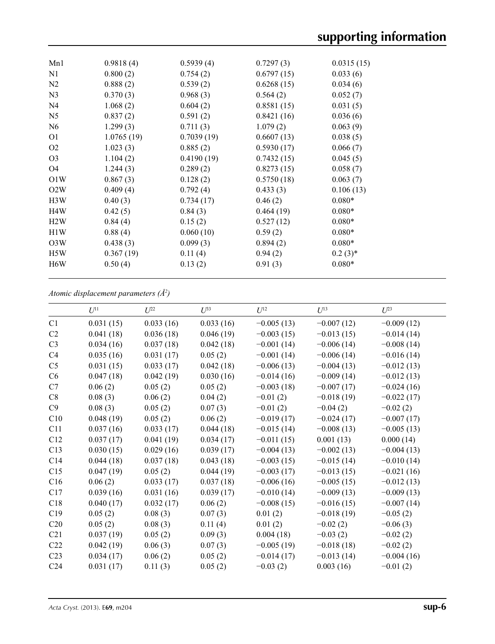| Mn1              | 0.9818(4)  | 0.5939(4)  | 0.7297(3)  | 0.0315(15) |  |
|------------------|------------|------------|------------|------------|--|
| N1               | 0.800(2)   | 0.754(2)   | 0.6797(15) | 0.033(6)   |  |
| N2               | 0.888(2)   | 0.539(2)   | 0.6268(15) | 0.034(6)   |  |
| N <sub>3</sub>   | 0.370(3)   | 0.968(3)   | 0.564(2)   | 0.052(7)   |  |
| N <sub>4</sub>   | 1.068(2)   | 0.604(2)   | 0.8581(15) | 0.031(5)   |  |
| N <sub>5</sub>   | 0.837(2)   | 0.591(2)   | 0.8421(16) | 0.036(6)   |  |
| N <sub>6</sub>   | 1.299(3)   | 0.711(3)   | 1.079(2)   | 0.063(9)   |  |
| O <sub>1</sub>   | 1.0765(19) | 0.7039(19) | 0.6607(13) | 0.038(5)   |  |
| O <sub>2</sub>   | 1.023(3)   | 0.885(2)   | 0.5930(17) | 0.066(7)   |  |
| O <sub>3</sub>   | 1.104(2)   | 0.4190(19) | 0.7432(15) | 0.045(5)   |  |
| O <sub>4</sub>   | 1.244(3)   | 0.289(2)   | 0.8273(15) | 0.058(7)   |  |
| O1W              | 0.867(3)   | 0.128(2)   | 0.5750(18) | 0.063(7)   |  |
| O2W              | 0.409(4)   | 0.792(4)   | 0.433(3)   | 0.106(13)  |  |
| H3W              | 0.40(3)    | 0.734(17)  | 0.46(2)    | $0.080*$   |  |
| H <sub>4</sub> W | 0.42(5)    | 0.84(3)    | 0.464(19)  | $0.080*$   |  |
| H2W              | 0.84(4)    | 0.15(2)    | 0.527(12)  | $0.080*$   |  |
| H1W              | 0.88(4)    | 0.060(10)  | 0.59(2)    | $0.080*$   |  |
| O <sub>3</sub> W | 0.438(3)   | 0.099(3)   | 0.894(2)   | $0.080*$   |  |
| H <sub>5</sub> W | 0.367(19)  | 0.11(4)    | 0.94(2)    | $0.2(3)*$  |  |
| H <sub>6</sub> W | 0.50(4)    | 0.13(2)    | 0.91(3)    | $0.080*$   |  |

*Atomic displacement parameters (Å2 )*

|                 | $U^{11}$  | $L^{22}$  | $U^{33}$  | $U^{12}$     | $U^{13}$     | $U^{23}$     |
|-----------------|-----------|-----------|-----------|--------------|--------------|--------------|
| C1              | 0.031(15) | 0.033(16) | 0.033(16) | $-0.005(13)$ | $-0.007(12)$ | $-0.009(12)$ |
| C <sub>2</sub>  | 0.041(18) | 0.036(18) | 0.046(19) | $-0.003(15)$ | $-0.013(15)$ | $-0.014(14)$ |
| C <sub>3</sub>  |           |           |           |              |              |              |
|                 | 0.034(16) | 0.037(18) | 0.042(18) | $-0.001(14)$ | $-0.006(14)$ | $-0.008(14)$ |
| C <sub>4</sub>  | 0.035(16) | 0.031(17) | 0.05(2)   | $-0.001(14)$ | $-0.006(14)$ | $-0.016(14)$ |
| C <sub>5</sub>  | 0.031(15) | 0.033(17) | 0.042(18) | $-0.006(13)$ | $-0.004(13)$ | $-0.012(13)$ |
| C6              | 0.047(18) | 0.042(19) | 0.030(16) | $-0.014(16)$ | $-0.009(14)$ | $-0.012(13)$ |
| C7              | 0.06(2)   | 0.05(2)   | 0.05(2)   | $-0.003(18)$ | $-0.007(17)$ | $-0.024(16)$ |
| C8              | 0.08(3)   | 0.06(2)   | 0.04(2)   | $-0.01(2)$   | $-0.018(19)$ | $-0.022(17)$ |
| C9              | 0.08(3)   | 0.05(2)   | 0.07(3)   | $-0.01(2)$   | $-0.04(2)$   | $-0.02(2)$   |
| C10             | 0.048(19) | 0.05(2)   | 0.06(2)   | $-0.019(17)$ | $-0.024(17)$ | $-0.007(17)$ |
| C11             | 0.037(16) | 0.033(17) | 0.044(18) | $-0.015(14)$ | $-0.008(13)$ | $-0.005(13)$ |
| C12             | 0.037(17) | 0.041(19) | 0.034(17) | $-0.011(15)$ | 0.001(13)    | 0.000(14)    |
| C13             | 0.030(15) | 0.029(16) | 0.039(17) | $-0.004(13)$ | $-0.002(13)$ | $-0.004(13)$ |
| C14             | 0.044(18) | 0.037(18) | 0.043(18) | $-0.003(15)$ | $-0.015(14)$ | $-0.010(14)$ |
| C15             | 0.047(19) | 0.05(2)   | 0.044(19) | $-0.003(17)$ | $-0.013(15)$ | $-0.021(16)$ |
| C16             | 0.06(2)   | 0.033(17) | 0.037(18) | $-0.006(16)$ | $-0.005(15)$ | $-0.012(13)$ |
| C17             | 0.039(16) | 0.031(16) | 0.039(17) | $-0.010(14)$ | $-0.009(13)$ | $-0.009(13)$ |
| C18             | 0.040(17) | 0.032(17) | 0.06(2)   | $-0.008(15)$ | $-0.016(15)$ | $-0.007(14)$ |
| C19             | 0.05(2)   | 0.08(3)   | 0.07(3)   | 0.01(2)      | $-0.018(19)$ | $-0.05(2)$   |
| C20             | 0.05(2)   | 0.08(3)   | 0.11(4)   | 0.01(2)      | $-0.02(2)$   | $-0.06(3)$   |
| C21             | 0.037(19) | 0.05(2)   | 0.09(3)   | 0.004(18)    | $-0.03(2)$   | $-0.02(2)$   |
| C22             | 0.042(19) | 0.06(3)   | 0.07(3)   | $-0.005(19)$ | $-0.018(18)$ | $-0.02(2)$   |
| C <sub>23</sub> | 0.034(17) | 0.06(2)   | 0.05(2)   | $-0.014(17)$ | $-0.013(14)$ | $-0.004(16)$ |
| C <sub>24</sub> | 0.031(17) | 0.11(3)   | 0.05(2)   | $-0.03(2)$   | 0.003(16)    | $-0.01(2)$   |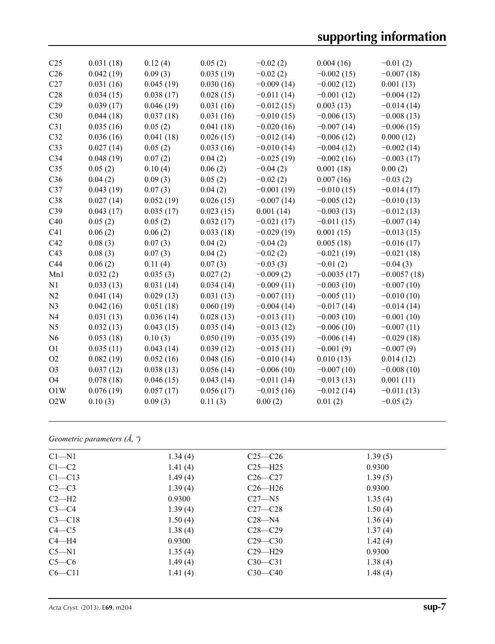| C <sub>25</sub> | 0.031(18) | 0.12(4)   | 0.05(2)   | $-0.02(2)$   | 0.004(16)     | $-0.01(2)$    |
|-----------------|-----------|-----------|-----------|--------------|---------------|---------------|
| C <sub>26</sub> | 0.042(19) | 0.09(3)   | 0.035(19) | $-0.02(2)$   | $-0.002(15)$  | $-0.007(18)$  |
| C27             | 0.031(16) | 0.045(19) | 0.030(16) | $-0.009(14)$ | $-0.002(12)$  | 0.001(13)     |
| C28             | 0.034(15) | 0.038(17) | 0.028(15) | $-0.011(14)$ | $-0.001(12)$  | $-0.004(12)$  |
| C29             | 0.039(17) | 0.046(19) | 0.031(16) | $-0.012(15)$ | 0.003(13)     | $-0.014(14)$  |
| C30             | 0.044(18) | 0.037(18) | 0.031(16) | $-0.010(15)$ | $-0.006(13)$  | $-0.008(13)$  |
| C31             | 0.035(16) | 0.05(2)   | 0.041(18) | $-0.020(16)$ | $-0.007(14)$  | $-0.006(15)$  |
| C32             | 0.036(16) | 0.041(18) | 0.026(15) | $-0.012(14)$ | $-0.006(12)$  | 0.000(12)     |
| C <sub>33</sub> | 0.027(14) | 0.05(2)   | 0.033(16) | $-0.010(14)$ | $-0.004(12)$  | $-0.002(14)$  |
| C34             | 0.048(19) | 0.07(2)   | 0.04(2)   | $-0.025(19)$ | $-0.002(16)$  | $-0.003(17)$  |
| C <sub>35</sub> | 0.05(2)   | 0.10(4)   | 0.06(2)   | $-0.04(2)$   | 0.001(18)     | 0.00(2)       |
| C36             | 0.04(2)   | 0.09(3)   | 0.05(2)   | $-0.02(2)$   | 0.007(16)     | $-0.03(2)$    |
| C37             | 0.043(19) | 0.07(3)   | 0.04(2)   | $-0.001(19)$ | $-0.010(15)$  | $-0.014(17)$  |
| C38             | 0.027(14) | 0.052(19) | 0.026(15) | $-0.007(14)$ | $-0.005(12)$  | $-0.010(13)$  |
| C39             | 0.043(17) | 0.035(17) | 0.023(15) | 0.001(14)    | $-0.003(13)$  | $-0.012(13)$  |
| C40             | 0.05(2)   | 0.05(2)   | 0.032(17) | $-0.021(17)$ | $-0.011(15)$  | $-0.007(14)$  |
| C41             | 0.06(2)   | 0.06(2)   | 0.033(18) | $-0.029(19)$ | 0.001(15)     | $-0.013(15)$  |
| C42             | 0.08(3)   | 0.07(3)   | 0.04(2)   | $-0.04(2)$   | 0.005(18)     | $-0.016(17)$  |
| C43             | 0.08(3)   | 0.07(3)   | 0.04(2)   | $-0.02(2)$   | $-0.021(19)$  | $-0.021(18)$  |
| C44             | 0.06(2)   | 0.11(4)   | 0.07(3)   | $-0.03(3)$   | $-0.01(2)$    | $-0.04(3)$    |
| Mn1             | 0.032(2)  | 0.035(3)  | 0.027(2)  | $-0.009(2)$  | $-0.0035(17)$ | $-0.0057(18)$ |
| N1              | 0.033(13) | 0.031(14) | 0.034(14) | $-0.009(11)$ | $-0.003(10)$  | $-0.007(10)$  |
| N2              | 0.041(14) | 0.029(13) | 0.031(13) | $-0.007(11)$ | $-0.005(11)$  | $-0.010(10)$  |
| N <sub>3</sub>  | 0.042(16) | 0.051(18) | 0.060(19) | $-0.004(14)$ | $-0.017(14)$  | $-0.014(14)$  |
| N <sub>4</sub>  | 0.031(13) | 0.036(14) | 0.028(13) | $-0.013(11)$ | $-0.003(10)$  | $-0.001(10)$  |
| N <sub>5</sub>  | 0.032(13) | 0.043(15) | 0.035(14) | $-0.013(12)$ | $-0.006(10)$  | $-0.007(11)$  |
| N <sub>6</sub>  | 0.053(18) | 0.10(3)   | 0.050(19) | $-0.035(19)$ | $-0.006(14)$  | $-0.029(18)$  |
| O <sub>1</sub>  | 0.035(11) | 0.043(14) | 0.039(12) | $-0.015(11)$ | $-0.001(9)$   | $-0.007(9)$   |
| O2              | 0.082(19) | 0.052(16) | 0.048(16) | $-0.010(14)$ | 0.010(13)     | 0.014(12)     |
| O <sub>3</sub>  | 0.037(12) | 0.038(13) | 0.056(14) | $-0.006(10)$ | $-0.007(10)$  | $-0.008(10)$  |
| O <sub>4</sub>  | 0.078(18) | 0.046(15) | 0.043(14) | $-0.011(14)$ | $-0.013(13)$  | 0.001(11)     |
| O1W             | 0.076(19) | 0.057(17) | 0.056(17) | $-0.015(16)$ | $-0.012(14)$  | $-0.011(13)$  |
| O2W             | 0.10(3)   | 0.09(3)   | 0.11(3)   | 0.00(2)      | 0.01(2)       | $-0.05(2)$    |
|                 |           |           |           |              |               |               |

## *Geometric parameters (Å, º)*

| $Cl - N1$  | 1.34(4) | $C25-C26$   | 1.39(5) |  |
|------------|---------|-------------|---------|--|
| $C1-C2$    | 1.41(4) | $C25 - H25$ | 0.9300  |  |
| $C1 - C13$ | 1.49(4) | $C26-C27$   | 1.39(5) |  |
| $C2-C3$    | 1.39(4) | $C26 - H26$ | 0.9300  |  |
| $C2-H2$    | 0.9300  | $C27 - N5$  | 1.35(4) |  |
| $C3-C4$    | 1.39(4) | $C27 - C28$ | 1.50(4) |  |
| $C3 - C18$ | 1.50(4) | $C28 - N4$  | 1.36(4) |  |
| $C4 - C5$  | 1.38(4) | $C28 - C29$ | 1.37(4) |  |
| $C4 - H4$  | 0.9300  | $C29 - C30$ | 1.42(4) |  |
| $C5 - N1$  | 1.35(4) | $C29 - H29$ | 0.9300  |  |
| $C5-C6$    | 1.49(4) | $C30-C31$   | 1.38(4) |  |
| $C6 - C11$ | 1.41(4) | $C30 - C40$ | 1.48(4) |  |
|            |         |             |         |  |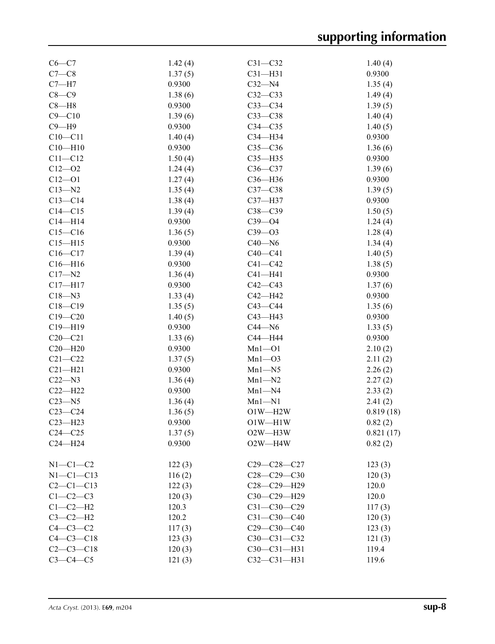| $C6-C7$         | 1.42(4) | $C31 - C32$                       | 1.40(4)   |
|-----------------|---------|-----------------------------------|-----------|
| $C7-C8$         | 1.37(5) | $C31 - H31$                       | 0.9300    |
| $C7 - H7$       | 0.9300  | $C32 - N4$                        | 1.35(4)   |
| $C8-C9$         | 1.38(6) | $C32-C33$                         | 1.49(4)   |
| $C8 - H8$       | 0.9300  | $C33-C34$                         | 1.39(5)   |
| $C9 - C10$      | 1.39(6) | $C33-C38$                         | 1.40(4)   |
| $C9 - H9$       | 0.9300  | $C34 - C35$                       | 1.40(5)   |
| $C10 - C11$     | 1.40(4) | C34-H34                           | 0.9300    |
| $C10 - H10$     | 0.9300  | $C35-C36$                         | 1.36(6)   |
| $C11 - C12$     | 1.50(4) | $C35 - H35$                       | 0.9300    |
| $C12 - 02$      | 1.24(4) | $C36-C37$                         | 1.39(6)   |
| $C12 - O1$      | 1.27(4) | C36-H36                           | 0.9300    |
| $C13 - N2$      | 1.35(4) | $C37-C38$                         | 1.39(5)   |
| $C13 - C14$     |         | C37-H37                           | 0.9300    |
|                 | 1.38(4) |                                   |           |
| $C14 - C15$     | 1.39(4) | $C38 - C39$                       | 1.50(5)   |
| $C14 - H14$     | 0.9300  | $C39 - O4$                        | 1.24(4)   |
| $C15-C16$       | 1.36(5) | $C39 - O3$                        | 1.28(4)   |
| $C15 - H15$     | 0.9300  | $C40 - N6$                        | 1.34(4)   |
| $C16-C17$       | 1.39(4) | $C40-C41$                         | 1.40(5)   |
| $C16 - H16$     | 0.9300  | $C41 - C42$                       | 1.38(5)   |
| $C17 - N2$      | 1.36(4) | $C41 - H41$                       | 0.9300    |
| $C17 - H17$     | 0.9300  | $C42 - C43$                       | 1.37(6)   |
| $C18 - N3$      | 1.33(4) | C42-H42                           | 0.9300    |
| $C18 - C19$     | 1.35(5) | $C43 - C44$                       | 1.35(6)   |
| $C19 - C20$     | 1.40(5) | $C43 - H43$                       | 0.9300    |
| $C19 - H19$     | 0.9300  | $C44 - N6$                        | 1.33(5)   |
| $C20 - C21$     | 1.33(6) | C44-H44                           | 0.9300    |
| $C20 - H20$     | 0.9300  | $Mn1 - O1$                        | 2.10(2)   |
| $C21 - C22$     | 1.37(5) | $Mn1 - O3$                        | 2.11(2)   |
| $C21 - H21$     | 0.9300  | $Mn1 - N5$                        | 2.26(2)   |
| $C22 - N3$      | 1.36(4) | $Mn1-M2$                          | 2.27(2)   |
| $C22-H22$       | 0.9300  | $Mn1 - N4$                        | 2.33(2)   |
| $C23 - N5$      | 1.36(4) | $Mn1 - N1$                        | 2.41(2)   |
| $C23-C24$       | 1.36(5) | $O1W - H2W$                       | 0.819(18) |
| $C23 - H23$     | 0.9300  | $O1W - H1W$                       | 0.82(2)   |
| $C24 - C25$     | 1.37(5) | O <sub>2</sub> W-H <sub>3</sub> W | 0.821(17) |
| $C24 - H24$     | 0.9300  | O2W-H4W                           | 0.82(2)   |
|                 |         |                                   |           |
| $N1-C1-C2$      | 122(3)  | C29-C28-C27                       | 123(3)    |
| $N1-C1-C13$     | 116(2)  | $C28 - C29 - C30$                 | 120(3)    |
| $C2 - C1 - C13$ | 122(3)  | C28-C29-H29                       | 120.0     |
| $C1-C2-C3$      | 120(3)  | C30-C29-H29                       | 120.0     |
| $C1-C2-H2$      | 120.3   | $C31 - C30 - C29$                 | 117(3)    |
| $C3-C2-H2$      | 120.2   | $C31 - C30 - C40$                 | 120(3)    |
| $C4-C3-C2$      | 117(3)  | $C29 - C30 - C40$                 | 123(3)    |
| $C4 - C3 - C18$ | 123(3)  | $C30 - C31 - C32$                 | 121(3)    |
| $C2-C3-C18$     | 120(3)  | C30-C31-H31                       | 119.4     |
| $C3-C4-C5$      | 121(3)  | $C32 - C31 - H31$                 | 119.6     |
|                 |         |                                   |           |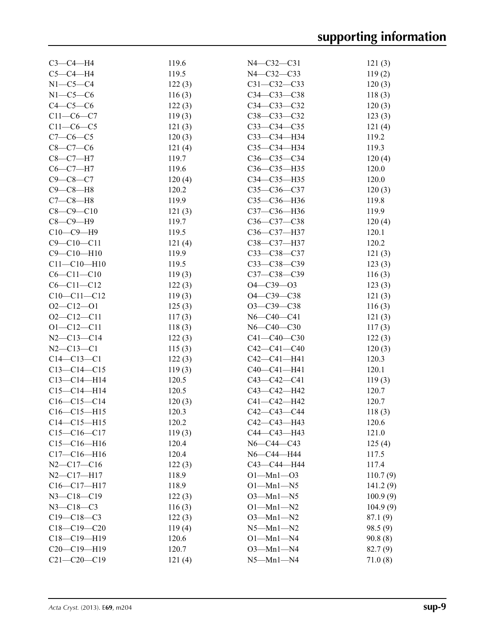| $C3-C4-H4$                        | 119.6           | N4-C32-C31                     | 121(3)          |
|-----------------------------------|-----------------|--------------------------------|-----------------|
| $C5-C4-H4$                        | 119.5           | N4-C32-C33                     | 119(2)          |
| $N1-C5-C4$                        | 122(3)          | C31-C32-C33                    | 120(3)          |
| $N1-C5-C6$                        | 116(3)          | $C34 - C33 - C38$              | 118(3)          |
| $C4-C5-C6$                        | 122(3)          | $C34 - C33 - C32$              | 120(3)          |
| $C11-C6-C7$                       | 119(3)          | C38-C33-C32                    | 123(3)          |
| $C11-C6-C5$                       | 121(3)          | $C33-C34-C35$                  | 121(4)          |
| $C7-C6-C5$                        | 120(3)          | СЗЗ-СЗ4-НЗ4                    | 119.2           |
| $C8 - C7 - C6$                    | 121(4)          | C35-C34-H34                    | 119.3           |
| $C8-C7-H7$                        | 119.7           | $C36-C35-C34$                  | 120(4)          |
| $C6-C7-H7$                        | 119.6           | C36-C35-H35                    | 120.0           |
| $C9 - C8 - C7$                    | 120(4)          | C34-C35-H35                    | 120.0           |
| $C9 - C8 - H8$                    | 120.2           | C35-C36-C37                    | 120(3)          |
| $C7-C8-H8$                        | 119.9           | C35-C36-H36                    | 119.8           |
| $C8 - C9 - C10$                   | 121(3)          | C37-C36-H36                    | 119.9           |
| $C8-C9-H9$                        | 119.7           | $C36-C37-C38$                  | 120(4)          |
| $C10-C9-H9$                       | 119.5           | C36-C37-H37                    | 120.1           |
| $C9 - C10 - C11$                  | 121(4)          | C38-C37-H37                    | 120.2           |
| $C9 - C10 - H10$                  | 119.9           | $C33 - C38 - C37$              | 121(3)          |
| $C11 - C10 - H10$                 | 119.5           | C33-C38-C39                    | 123(3)          |
| $C6 - C11 - C10$                  | 119(3)          | C37-C38-C39                    | 116(3)          |
| $C6 - C11 - C12$                  | 122(3)          | $O4 - C39 - O3$                | 123(3)          |
| $C10-C11-C12$                     | 119(3)          | O4-C39-C38                     | 121(3)          |
| $O2 - C12 - O1$                   | 125(3)          | $O3 - C39 - C38$               | 116(3)          |
| $O2 - C12 - C11$                  | 117(3)          | $N6 - C40 - C41$               | 121(3)          |
| $O1 - C12 - C11$                  | 118(3)          | $N6 - C40 - C30$               | 117(3)          |
| $N2 - C13 - C14$                  | 122(3)          | $C41 - C40 - C30$              | 122(3)          |
| $N2 - C13 - C1$                   | 115(3)          | $C42 - C41 - C40$              | 120(3)          |
| $C14 - C13 - C1$                  | 122(3)          | C42-C41-H41                    | 120.3           |
| $C13 - C14 - C15$                 |                 | C40-C41-H41                    | 120.1           |
| $C13 - C14 - H14$                 | 119(3)<br>120.5 | $C43 - C42 - C41$              |                 |
| $C15 - C14 - H14$                 | 120.5           | C43-C42-H42                    | 119(3)<br>120.7 |
| $C16-C15-C14$                     | 120(3)          | C41-C42-H42                    | 120.7           |
| $C16-C15-H15$                     | 120.3           | C42-C43-C44                    | 118(3)          |
| $C14 - C15 - H15$                 | 120.2           | C42-C43-H43                    | 120.6           |
| $C15-C16-C17$                     | 119(3)          | C44-C43-H43                    | 121.0           |
| $C15-C16-H16$                     | 120.4           | $N6 - C44 - C43$               |                 |
| $C17 - C16 - H16$                 | 120.4           | N6-C44-H44                     | 125(4)          |
|                                   |                 |                                | 117.5           |
| $N2$ —C17—C16<br>$N2 - C17 - H17$ | 122(3)<br>118.9 | C43-C44-H44<br>$O1 - Mn1 - O3$ | 117.4           |
| $C16 - C17 - H17$                 | 118.9           | $O1-Mn1-N5$                    | 110.7(9)        |
| $N3 - C18 - C19$                  |                 | $O3$ -Mn $1$ -N5               | 141.2(9)        |
|                                   | 122(3)          |                                | 100.9(9)        |
| $N3 - C18 - C3$                   | 116(3)          | $O1 - Mn1 - N2$                | 104.9(9)        |
| $C19 - C18 - C3$                  | 122(3)          | $O3 - Mn1 - N2$                | 87.1(9)         |
| $C18-C19-C20$                     | 119(4)          | $N5 - Mn1 - N2$                | 98.5 (9)        |
| $C18-C19-H19$                     | 120.6           | $O1-Mn1-N4$                    | 90.8(8)         |
| $C20-C19-H19$                     | 120.7           | $O3 - Mn1 - N4$                | 82.7(9)         |
| $C21 - C20 - C19$                 | 121(4)          | $N5 - Mn1 - N4$                | 71.0(8)         |